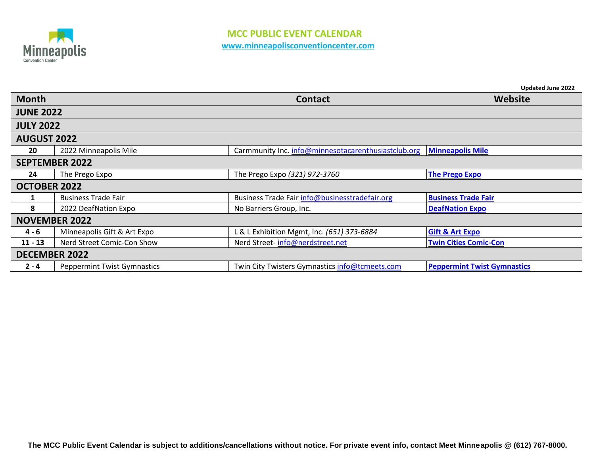

|                       |                                    |                                                     | Updated June 2022                  |  |
|-----------------------|------------------------------------|-----------------------------------------------------|------------------------------------|--|
| <b>Month</b>          |                                    | <b>Contact</b>                                      | Website                            |  |
| <b>JUNE 2022</b>      |                                    |                                                     |                                    |  |
| <b>JULY 2022</b>      |                                    |                                                     |                                    |  |
| <b>AUGUST 2022</b>    |                                    |                                                     |                                    |  |
| 20                    | 2022 Minneapolis Mile              | Carmmunity Inc. info@minnesotacarenthusiastclub.org | <b>Minneapolis Mile</b>            |  |
| <b>SEPTEMBER 2022</b> |                                    |                                                     |                                    |  |
| 24                    | The Prego Expo                     | The Prego Expo (321) 972-3760                       | <b>The Prego Expo</b>              |  |
| <b>OCTOBER 2022</b>   |                                    |                                                     |                                    |  |
| 1                     | <b>Business Trade Fair</b>         | Business Trade Fair info@businesstradefair.org      | <b>Business Trade Fair</b>         |  |
| 8                     | 2022 DeafNation Expo               | No Barriers Group, Inc.                             | <b>DeafNation Expo</b>             |  |
| <b>NOVEMBER 2022</b>  |                                    |                                                     |                                    |  |
| $4 - 6$               | Minneapolis Gift & Art Expo        | L & L Exhibition Mgmt, Inc. (651) 373-6884          | <b>Gift &amp; Art Expo</b>         |  |
| $11 - 13$             | Nerd Street Comic-Con Show         | Nerd Street-info@nerdstreet.net                     | <b>Twin Cities Comic-Con</b>       |  |
| <b>DECEMBER 2022</b>  |                                    |                                                     |                                    |  |
| $2 - 4$               | <b>Peppermint Twist Gymnastics</b> | Twin City Twisters Gymnastics info@tcmeets.com      | <b>Peppermint Twist Gymnastics</b> |  |